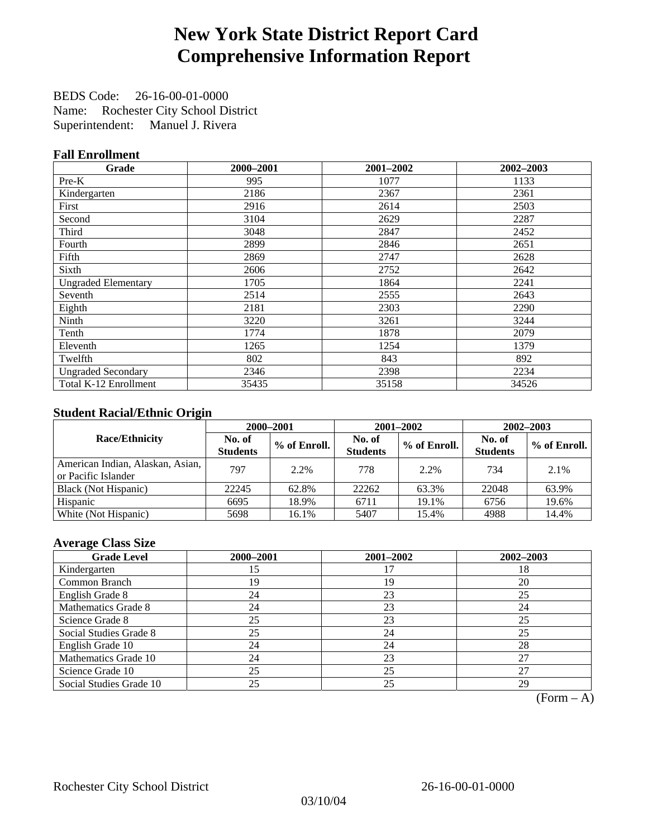# **New York State District Report Card Comprehensive Information Report**

BEDS Code: 26-16-00-01-0000 Name: Rochester City School District Superintendent: Manuel J. Rivera

### **Fall Enrollment**

| Grade                      | 2000-2001 | 2001-2002 | 2002-2003 |
|----------------------------|-----------|-----------|-----------|
| $Pre-K$                    | 995       | 1077      | 1133      |
| Kindergarten               | 2186      | 2367      | 2361      |
| First                      | 2916      | 2614      | 2503      |
| Second                     | 3104      | 2629      | 2287      |
| Third                      | 3048      | 2847      | 2452      |
| Fourth                     | 2899      | 2846      | 2651      |
| Fifth                      | 2869      | 2747      | 2628      |
| Sixth                      | 2606      | 2752      | 2642      |
| <b>Ungraded Elementary</b> | 1705      | 1864      | 2241      |
| Seventh                    | 2514      | 2555      | 2643      |
| Eighth                     | 2181      | 2303      | 2290      |
| Ninth                      | 3220      | 3261      | 3244      |
| Tenth                      | 1774      | 1878      | 2079      |
| Eleventh                   | 1265      | 1254      | 1379      |
| Twelfth                    | 802       | 843       | 892       |
| <b>Ungraded Secondary</b>  | 2346      | 2398      | 2234      |
| Total K-12 Enrollment      | 35435     | 35158     | 34526     |

### **Student Racial/Ethnic Origin**

|                                                         |                           | 2000-2001    | $2001 - 2002$             |              | $2002 - 2003$             |                |
|---------------------------------------------------------|---------------------------|--------------|---------------------------|--------------|---------------------------|----------------|
| <b>Race/Ethnicity</b>                                   | No. of<br><b>Students</b> | % of Enroll. | No. of<br><b>Students</b> | % of Enroll. | No. of<br><b>Students</b> | $%$ of Enroll. |
| American Indian, Alaskan, Asian,<br>or Pacific Islander | 797                       | 2.2%         | 778                       | 2.2%         | 734                       | 2.1%           |
| Black (Not Hispanic)                                    | 22245                     | 62.8%        | 22262                     | 63.3%        | 22048                     | 63.9%          |
| Hispanic                                                | 6695                      | 18.9%        | 6711                      | 19.1%        | 6756                      | 19.6%          |
| White (Not Hispanic)                                    | 5698                      | 16.1%        | 5407                      | 15.4%        | 4988                      | 14.4%          |

### **Average Class Size**

| <b>Grade Level</b>      | 2000-2001 | 2001-2002 | $2002 - 2003$ |
|-------------------------|-----------|-----------|---------------|
| Kindergarten            | 15        |           | 18            |
| Common Branch           | 19        | 19        | 20            |
| English Grade 8         | 24        | 23        | 25            |
| Mathematics Grade 8     | 24        | 23        | 24            |
| Science Grade 8         | 25        | 23        | 25            |
| Social Studies Grade 8  | 25        | 24        | 25            |
| English Grade 10        | 24        | 24        | 28            |
| Mathematics Grade 10    | 24        | 23        | 27            |
| Science Grade 10        | 25        | 25        | 27            |
| Social Studies Grade 10 | 25        | 25        | 29            |

 $(Form - A)$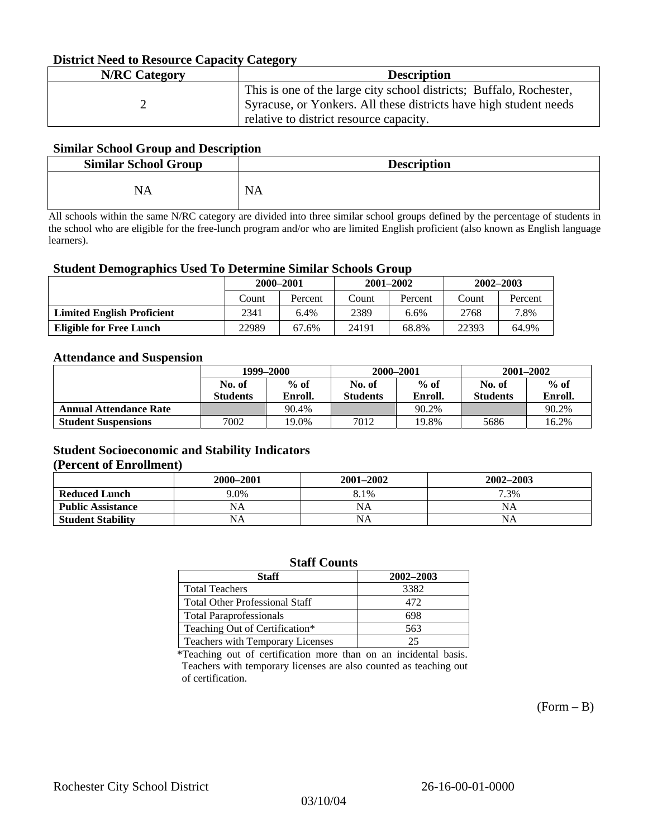### **District Need to Resource Capacity Category**

| <b>N/RC</b> Category | <b>Description</b>                                                                                                                                                                  |
|----------------------|-------------------------------------------------------------------------------------------------------------------------------------------------------------------------------------|
|                      | This is one of the large city school districts; Buffalo, Rochester,<br>Syracuse, or Yonkers. All these districts have high student needs<br>relative to district resource capacity. |

#### **Similar School Group and Description**

| <b>Similar School Group</b> | <b>Description</b> |
|-----------------------------|--------------------|
| NA                          | <b>NA</b>          |

All schools within the same N/RC category are divided into three similar school groups defined by the percentage of students in the school who are eligible for the free-lunch program and/or who are limited English proficient (also known as English language learners).

#### **Student Demographics Used To Determine Similar Schools Group**

| ຼ                                 | 2000-2001 |         | $2001 - 2002$ |         | $2002 - 2003$ |         |
|-----------------------------------|-----------|---------|---------------|---------|---------------|---------|
|                                   | Count     | Percent | Count         | Percent | Count         | Percent |
| <b>Limited English Proficient</b> | 2341      | $6.4\%$ | 2389          | 6.6%    | 2768          | 7.8%    |
| Eligible for Free Lunch           | 22989     | 67.6%   | 24191         | 68.8%   | 22393         | 64.9%   |

#### **Attendance and Suspension**

|                               | 1999–2000       |         |                 | 2000-2001 | $2001 - 2002$   |         |
|-------------------------------|-----------------|---------|-----------------|-----------|-----------------|---------|
|                               | No. of          | $%$ of  | No. of          | $%$ of    | No. of          | $\%$ of |
|                               | <b>Students</b> | Enroll. | <b>Students</b> | Enroll.   | <b>Students</b> | Enroll. |
| <b>Annual Attendance Rate</b> |                 | 90.4%   |                 | 90.2%     |                 | 90.2%   |
| <b>Student Suspensions</b>    | 7002            | 19.0%   | 7012            | 19.8%     | 5686            | 16.2%   |

#### **Student Socioeconomic and Stability Indicators (Percent of Enrollment)**

|                          | 2000-2001 | $2001 - 2002$ | 2002-2003 |
|--------------------------|-----------|---------------|-----------|
| <b>Reduced Lunch</b>     | 9.0%      | 8.1%          | 7.3%      |
| <b>Public Assistance</b> | NA        | NA            | NA        |
| <b>Student Stability</b> | NA        | NA            | NA        |

#### **Staff Counts**

| Staff                                 | 2002-2003 |
|---------------------------------------|-----------|
| <b>Total Teachers</b>                 | 3382      |
| <b>Total Other Professional Staff</b> | 472       |
| <b>Total Paraprofessionals</b>        | 698       |
| Teaching Out of Certification*        | 563       |
| Teachers with Temporary Licenses      | 25        |

\*Teaching out of certification more than on an incidental basis. Teachers with temporary licenses are also counted as teaching out of certification.

 $(Form - B)$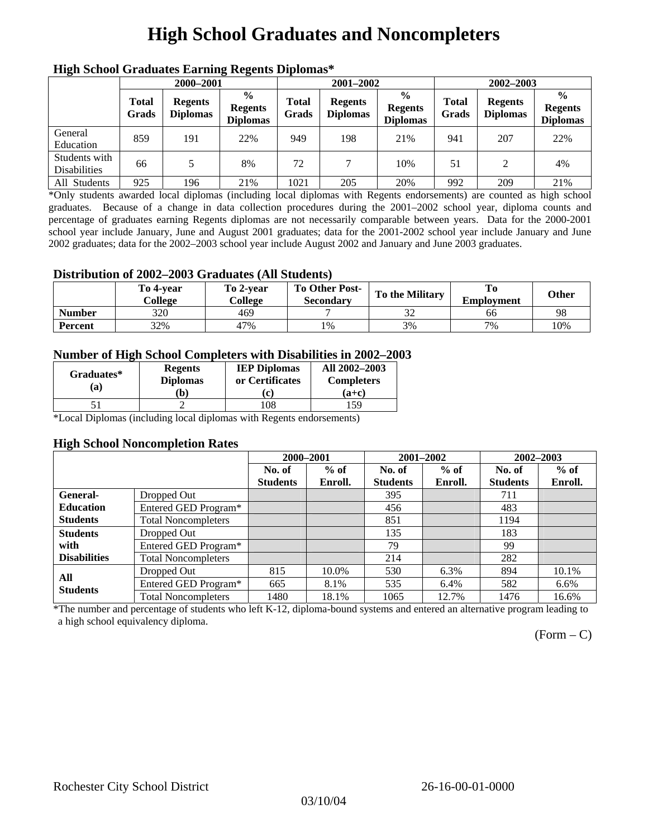# **High School Graduates and Noncompleters**

| ніді эспол этайнакі патінід кеденія вірюшая |                       |                                   |                                                    |                       |                                   |                                                    |                       |                                   |                                                    |  |
|---------------------------------------------|-----------------------|-----------------------------------|----------------------------------------------------|-----------------------|-----------------------------------|----------------------------------------------------|-----------------------|-----------------------------------|----------------------------------------------------|--|
|                                             | 2000-2001             |                                   |                                                    |                       | 2001-2002                         |                                                    |                       | 2002-2003                         |                                                    |  |
|                                             | <b>Total</b><br>Grads | <b>Regents</b><br><b>Diplomas</b> | $\frac{0}{0}$<br><b>Regents</b><br><b>Diplomas</b> | <b>Total</b><br>Grads | <b>Regents</b><br><b>Diplomas</b> | $\frac{6}{6}$<br><b>Regents</b><br><b>Diplomas</b> | <b>Total</b><br>Grads | <b>Regents</b><br><b>Diplomas</b> | $\frac{0}{0}$<br><b>Regents</b><br><b>Diplomas</b> |  |
| General<br>Education                        | 859                   | 191                               | 22%                                                | 949                   | 198                               | 21%                                                | 941                   | 207                               | 22%                                                |  |
| Students with<br><b>Disabilities</b>        | 66                    |                                   | 8%                                                 | 72                    | 7                                 | 10%                                                | 51                    | 2                                 | 4%                                                 |  |
| All Students                                | 925                   | 196                               | 21%                                                | 1021                  | 205                               | 20%                                                | 992                   | 209                               | 21%                                                |  |

### **High School Graduates Earning Regents Diplomas\***

\*Only students awarded local diplomas (including local diplomas with Regents endorsements) are counted as high school graduates. Because of a change in data collection procedures during the 2001–2002 school year, diploma counts and percentage of graduates earning Regents diplomas are not necessarily comparable between years. Data for the 2000-2001 school year include January, June and August 2001 graduates; data for the 2001-2002 school year include January and June 2002 graduates; data for the 2002–2003 school year include August 2002 and January and June 2003 graduates.

### **Distribution of 2002–2003 Graduates (All Students)**

|               | To 4-vear<br>College | To 2-vear<br>College | <b>To Other Post-</b><br>Secondary | <b>To the Military</b> | <b>Employment</b> | Other |
|---------------|----------------------|----------------------|------------------------------------|------------------------|-------------------|-------|
| <b>Number</b> | 320                  | 469                  |                                    | $\sim$                 | 66                | 98    |
| Percent       | 32%                  | 47%                  | 1%                                 | 3%                     | 7%                | 10%   |

### **Number of High School Completers with Disabilities in 2002–2003**

| Graduates*<br>(a) | <b>Regents</b><br><b>Diplomas</b><br>b) | <b>IEP Diplomas</b><br>or Certificates<br>C) | All 2002-2003<br><b>Completers</b><br>(a+c) |
|-------------------|-----------------------------------------|----------------------------------------------|---------------------------------------------|
|                   |                                         | '08                                          | 59                                          |

\*Local Diplomas (including local diplomas with Regents endorsements)

#### **High School Noncompletion Rates**

|                        |                            | 2000-2001       |         | 2001-2002       |         | 2002-2003       |         |
|------------------------|----------------------------|-----------------|---------|-----------------|---------|-----------------|---------|
|                        |                            | No. of          | $%$ of  | No. of          | $%$ of  | No. of          | $%$ of  |
|                        |                            | <b>Students</b> | Enroll. | <b>Students</b> | Enroll. | <b>Students</b> | Enroll. |
| General-               | Dropped Out                |                 |         | 395             |         | 711             |         |
| <b>Education</b>       | Entered GED Program*       |                 |         | 456             |         | 483             |         |
| <b>Students</b>        | <b>Total Noncompleters</b> |                 |         | 851             |         | 1194            |         |
| <b>Students</b>        | Dropped Out                |                 |         | 135             |         | 183             |         |
| with                   | Entered GED Program*       |                 |         | 79              |         | 99              |         |
| <b>Disabilities</b>    | <b>Total Noncompleters</b> |                 |         | 214             |         | 282             |         |
|                        | Dropped Out                | 815             | 10.0%   | 530             | 6.3%    | 894             | 10.1%   |
| All<br><b>Students</b> | Entered GED Program*       | 665             | 8.1%    | 535             | 6.4%    | 582             | 6.6%    |
|                        | <b>Total Noncompleters</b> | 1480            | 18.1%   | 1065            | 12.7%   | 1476            | 16.6%   |

\*The number and percentage of students who left K-12, diploma-bound systems and entered an alternative program leading to a high school equivalency diploma.

 $(Form - C)$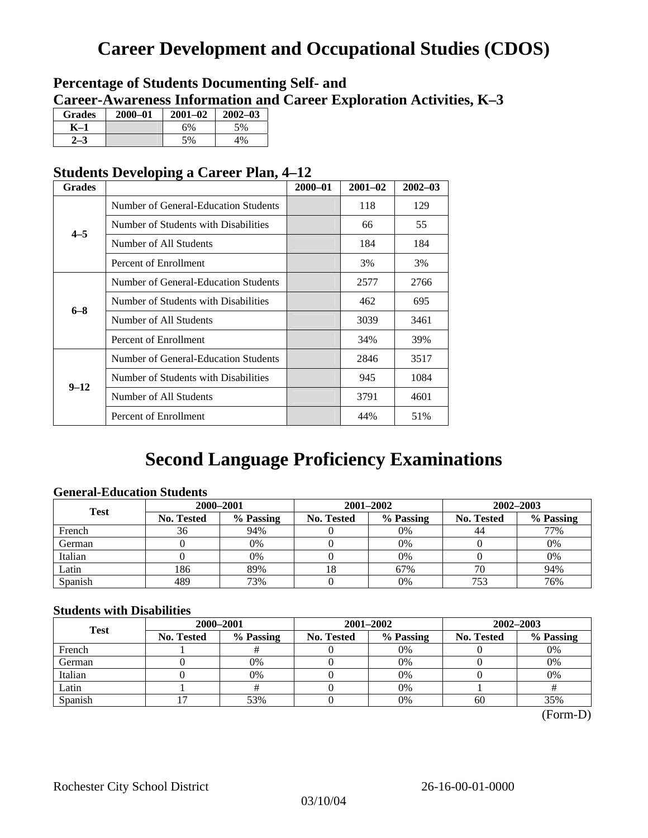## **Career Development and Occupational Studies (CDOS)**

### **Percentage of Students Documenting Self- and Career-Awareness Information and Career Exploration Activities, K–3**

| <b>Grades</b> | $2000 - 01$ | $2001 - 02$ | $2002 - 03$ |
|---------------|-------------|-------------|-------------|
| K–1           |             | 6%          | 5%          |
|               |             | 5%          | 4%          |

### **Students Developing a Career Plan, 4–12**

| <b>Grades</b>                                                                                                                                                                                                                                                                                                                                           |                                      | $2000 - 01$ | $2001 - 02$ | $2002 - 03$ |
|---------------------------------------------------------------------------------------------------------------------------------------------------------------------------------------------------------------------------------------------------------------------------------------------------------------------------------------------------------|--------------------------------------|-------------|-------------|-------------|
|                                                                                                                                                                                                                                                                                                                                                         | Number of General-Education Students |             | 118         | 129         |
|                                                                                                                                                                                                                                                                                                                                                         | Number of Students with Disabilities |             | 66          | 55          |
| $4 - 5$<br>Number of All Students<br>Percent of Enrollment<br>Number of General-Education Students<br>Number of Students with Disabilities<br>$6 - 8$<br>Number of All Students<br>Percent of Enrollment<br>Number of General-Education Students<br>Number of Students with Disabilities<br>$9 - 12$<br>Number of All Students<br>Percent of Enrollment |                                      |             | 184         | 184         |
|                                                                                                                                                                                                                                                                                                                                                         |                                      | 3%          | 3%          |             |
|                                                                                                                                                                                                                                                                                                                                                         |                                      |             | 2577        | 2766        |
|                                                                                                                                                                                                                                                                                                                                                         |                                      |             | 462         | 695         |
|                                                                                                                                                                                                                                                                                                                                                         |                                      |             | 3039        | 3461        |
|                                                                                                                                                                                                                                                                                                                                                         |                                      | 34%         | 39%         |             |
|                                                                                                                                                                                                                                                                                                                                                         |                                      |             | 2846        | 3517        |
|                                                                                                                                                                                                                                                                                                                                                         |                                      |             | 945         | 1084        |
|                                                                                                                                                                                                                                                                                                                                                         |                                      |             | 3791        | 4601        |
|                                                                                                                                                                                                                                                                                                                                                         |                                      |             | 44%         | 51%         |

## **Second Language Proficiency Examinations**

### **General-Education Students**

| <b>Test</b> | 2000-2001         |           |            | 2001-2002 | 2002-2003                                                 |           |  |
|-------------|-------------------|-----------|------------|-----------|-----------------------------------------------------------|-----------|--|
|             | <b>No. Tested</b> | % Passing | No. Tested | % Passing | <b>No. Tested</b><br>$0\%$<br>44<br>0%<br>0%<br>67%<br>70 | % Passing |  |
| French      | 36                | 94%       |            |           |                                                           | 77%       |  |
| German      |                   | 0%        |            |           |                                                           | 0%        |  |
| Italian     |                   | 0%        |            |           |                                                           | 0%        |  |
| Latin       | 186               | 89%       | 18         |           |                                                           | 94%       |  |
| Spanish     | 489               | 73%       |            | 0%        | 753                                                       | 76%       |  |

### **Students with Disabilities**

| <b>Test</b> | 2000-2001         |           |            |                                                                              | 2002-2003 |     |  |
|-------------|-------------------|-----------|------------|------------------------------------------------------------------------------|-----------|-----|--|
|             | <b>No. Tested</b> | % Passing | No. Tested | 2001-2002<br>% Passing<br><b>No. Tested</b><br>$0\%$<br>0%<br>$0\%$<br>$0\%$ | % Passing |     |  |
| French      |                   |           |            |                                                                              |           | 0%  |  |
| German      |                   | 0%        |            |                                                                              |           | 0%  |  |
| Italian     |                   | 0%        |            |                                                                              |           | 0%  |  |
| Latin       |                   |           |            |                                                                              |           |     |  |
| Spanish     |                   | 53%       |            | 0%                                                                           | 60        | 35% |  |

(Form-D)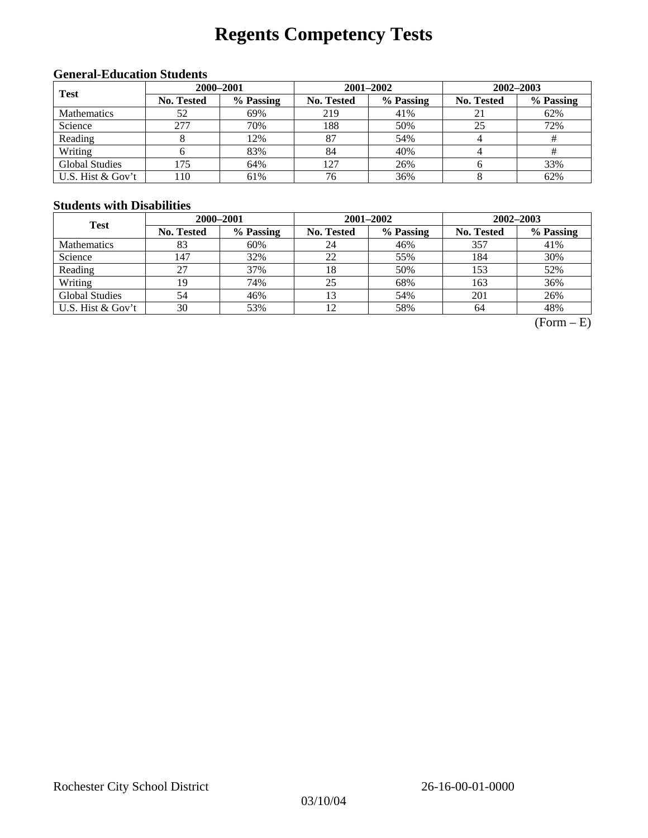# **Regents Competency Tests**

### **General-Education Students**

| <b>Test</b>           | 2000-2001         |           |                                                                                                                                            |           | $2002 - 2003$ |     |  |
|-----------------------|-------------------|-----------|--------------------------------------------------------------------------------------------------------------------------------------------|-----------|---------------|-----|--|
|                       | <b>No. Tested</b> | % Passing | $2001 - 2002$<br>% Passing<br>No. Tested<br>No. Tested<br>41%<br>219<br>188<br>50%<br>25<br>87<br>54%<br>#<br>84<br>40%<br>#<br>127<br>26% | % Passing |               |     |  |
| <b>Mathematics</b>    | 52                | 69%       |                                                                                                                                            |           |               | 62% |  |
| Science               | 277               | 70%       |                                                                                                                                            |           |               | 72% |  |
| Reading               |                   | 12%       |                                                                                                                                            |           |               |     |  |
| Writing               |                   | 83%       |                                                                                                                                            |           |               |     |  |
| <b>Global Studies</b> | 175               | 64%       |                                                                                                                                            |           |               | 33% |  |
| U.S. Hist & Gov't     | 110               | 61%       | 76                                                                                                                                         | 36%       |               | 62% |  |

#### **Students with Disabilities**

| <b>Test</b>           | 2000-2001         |           |                   | 2001-2002 | 2002-2003                                                                               |           |  |
|-----------------------|-------------------|-----------|-------------------|-----------|-----------------------------------------------------------------------------------------|-----------|--|
|                       | <b>No. Tested</b> | % Passing | <b>No. Tested</b> | % Passing | <b>No. Tested</b><br>46%<br>357<br>55%<br>184<br>50%<br>153<br>68%<br>163<br>54%<br>201 | % Passing |  |
| <b>Mathematics</b>    | 83                | 60%       | 24                |           |                                                                                         | 41%       |  |
| Science               | 147               | 32%       | 22                |           |                                                                                         | 30%       |  |
| Reading               | 27                | 37%       | 18                |           |                                                                                         | 52%       |  |
| Writing               | 19                | 74%       | 25                |           |                                                                                         | 36%       |  |
| <b>Global Studies</b> | 54                | 46%       | 13                |           |                                                                                         | 26%       |  |
| U.S. Hist $&$ Gov't   | 30                | 53%       |                   | 58%       | 64                                                                                      | 48%       |  |

 $(Form - E)$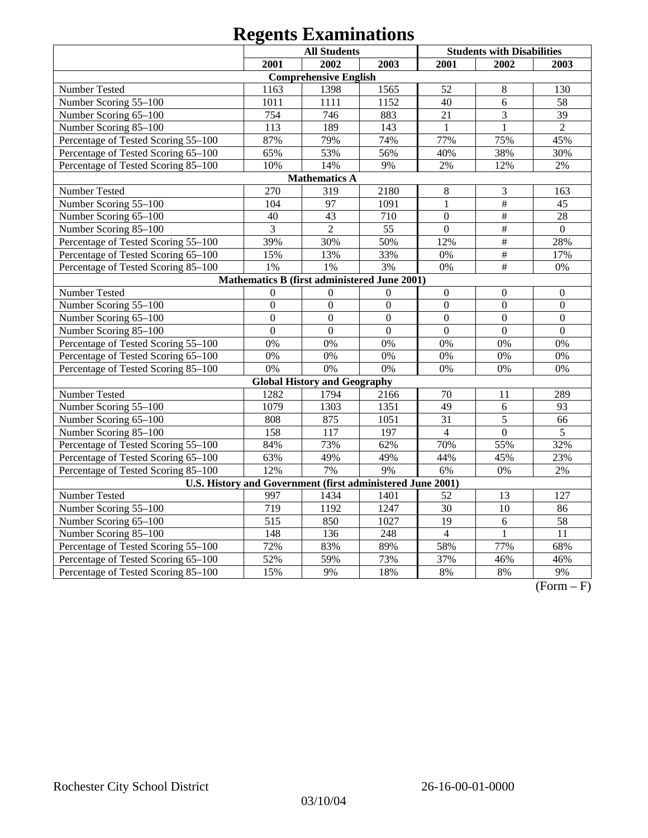|                                                            | <b>All Students</b>                          |                                     |                  |                  | <b>Students with Disabilities</b> |                  |  |
|------------------------------------------------------------|----------------------------------------------|-------------------------------------|------------------|------------------|-----------------------------------|------------------|--|
|                                                            | 2001                                         | 2002                                | 2003             | 2001             | 2002                              | 2003             |  |
|                                                            |                                              | <b>Comprehensive English</b>        |                  |                  |                                   |                  |  |
| Number Tested                                              | 1163                                         | 1398                                | 1565             | 52               | $\,8\,$                           | 130              |  |
| Number Scoring 55-100                                      | 1011                                         | 1111                                | 1152             | 40               | 6                                 | 58               |  |
| Number Scoring 65-100                                      | 754                                          | 746                                 | 883              | 21               | 3                                 | 39               |  |
| Number Scoring 85-100                                      | 113                                          | 189                                 | 143              | $\mathbf{1}$     | $\mathbf{1}$                      | $\overline{2}$   |  |
| Percentage of Tested Scoring 55-100                        | 87%                                          | 79%                                 | 74%              | 77%              | 75%                               | 45%              |  |
| Percentage of Tested Scoring 65-100                        | 65%                                          | 53%                                 | 56%              | 40%              | 38%                               | 30%              |  |
| Percentage of Tested Scoring 85-100                        | 10%                                          | 14%                                 | 9%               | 2%               | 12%                               | 2%               |  |
| <b>Mathematics A</b>                                       |                                              |                                     |                  |                  |                                   |                  |  |
| Number Tested                                              | 270                                          | 319                                 | 2180             | $8\,$            | 3                                 | 163              |  |
| Number Scoring 55-100                                      | 104                                          | 97                                  | 1091             | $\mathbf{1}$     | $\#$                              | 45               |  |
| Number Scoring 65-100                                      | 40                                           | 43                                  | 710              | $\boldsymbol{0}$ | $\overline{\overline{H}}$         | 28               |  |
| Number Scoring 85-100                                      | 3                                            | $\overline{2}$                      | 55               | $\overline{0}$   | $\overline{\overline{H}}$         | $\boldsymbol{0}$ |  |
| Percentage of Tested Scoring 55-100                        | 39%                                          | 30%                                 | 50%              | 12%              | $\overline{\#}$                   | 28%              |  |
| Percentage of Tested Scoring 65-100                        | 15%                                          | 13%                                 | 33%              | 0%               | $\#$                              | 17%              |  |
| Percentage of Tested Scoring 85-100                        | 1%                                           | 1%                                  | 3%               | 0%               | $\overline{\overline{t}}$         | 0%               |  |
|                                                            | Mathematics B (first administered June 2001) |                                     |                  |                  |                                   |                  |  |
| Number Tested                                              | $\Omega$                                     | $\Omega$                            | $\Omega$         | $\boldsymbol{0}$ | $\boldsymbol{0}$                  | $\boldsymbol{0}$ |  |
| Number Scoring 55-100                                      | $\overline{0}$                               | $\overline{0}$                      | $\overline{0}$   | $\overline{0}$   | $\overline{0}$                    | $\mathbf{0}$     |  |
| Number Scoring 65-100                                      | $\overline{0}$                               | $\overline{0}$                      | $\overline{0}$   | $\mathbf{0}$     | $\overline{0}$                    | $\mathbf{0}$     |  |
| Number Scoring 85-100                                      | $\overline{0}$                               | $\mathbf{0}$                        | $\overline{0}$   | $\mathbf{0}$     | $\overline{0}$                    | $\overline{0}$   |  |
| Percentage of Tested Scoring 55-100                        | 0%                                           | 0%                                  | 0%               | 0%               | 0%                                | 0%               |  |
| Percentage of Tested Scoring 65-100                        | 0%                                           | 0%                                  | 0%               | 0%               | 0%                                | 0%               |  |
| Percentage of Tested Scoring 85-100                        | 0%                                           | 0%                                  | 0%               | 0%               | 0%                                | 0%               |  |
|                                                            |                                              | <b>Global History and Geography</b> |                  |                  |                                   |                  |  |
| Number Tested                                              | 1282                                         | 1794                                | 2166             | 70               | 11                                | 289              |  |
| Number Scoring 55-100                                      | 1079                                         | 1303                                | 1351             | 49               | 6                                 | 93               |  |
| Number Scoring 65-100                                      | 808                                          | 875                                 | 1051             | $\overline{31}$  | 5                                 | 66               |  |
| Number Scoring 85-100                                      | 158                                          | 117                                 | 197              | $\overline{4}$   | $\overline{0}$                    | 5                |  |
| Percentage of Tested Scoring 55-100                        | 84%                                          | 73%                                 | 62%              | 70%              | 55%                               | 32%              |  |
| Percentage of Tested Scoring 65-100                        | 63%                                          | 49%                                 | 49%              | 44%              | 45%                               | 23%              |  |
| Percentage of Tested Scoring 85-100                        | 12%                                          | 7%                                  | 9%               | 6%               | 0%                                | 2%               |  |
| U.S. History and Government (first administered June 2001) |                                              |                                     |                  |                  |                                   |                  |  |
| Number Tested                                              | 997                                          | 1434                                | 1401             | 52               | 13                                | 127              |  |
| Number Scoring 55-100                                      | 719                                          | 1192                                | 1247             | $\overline{30}$  | 10                                | 86               |  |
| Number Scoring 65-100                                      | $\overline{515}$                             | 850                                 | 1027             | $\overline{19}$  | 6                                 | 58               |  |
| Number Scoring 85-100                                      | 148                                          | 136                                 | $\overline{248}$ | $\overline{4}$   | $\mathbf{1}$                      | $\overline{11}$  |  |
| Percentage of Tested Scoring 55-100                        | 72%                                          | 83%                                 | 89%              | 58%              | 77%                               | 68%              |  |
| Percentage of Tested Scoring 65-100                        | 52%                                          | 59%                                 | 73%              | 37%              | 46%                               | 46%              |  |
| Percentage of Tested Scoring 85-100                        | 15%                                          | 9%                                  | 18%              | 8%               | 8%                                | 9%               |  |

 $(Form - F)$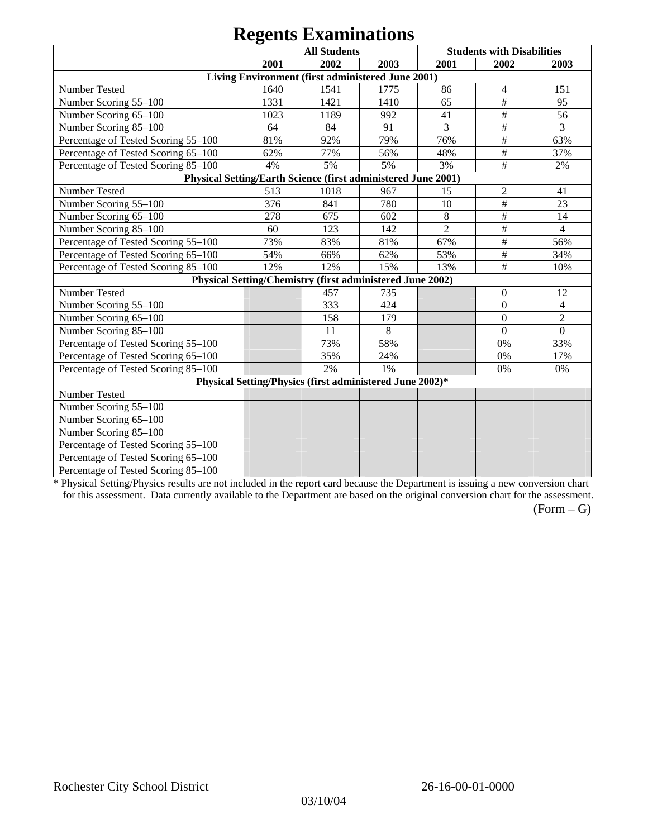|                                                               |      | <b>All Students</b>                                       |      |                | <b>Students with Disabilities</b> |                |
|---------------------------------------------------------------|------|-----------------------------------------------------------|------|----------------|-----------------------------------|----------------|
|                                                               | 2001 | 2002                                                      | 2003 | 2001           | 2002                              | 2003           |
|                                                               |      | Living Environment (first administered June 2001)         |      |                |                                   |                |
| Number Tested                                                 | 1640 | 1541                                                      | 1775 | 86             | 4                                 | 151            |
| Number Scoring 55-100                                         | 1331 | 1421                                                      | 1410 | 65             | $\#$                              | 95             |
| Number Scoring 65-100                                         | 1023 | 1189                                                      | 992  | 41             | $\#$                              | 56             |
| Number Scoring 85-100                                         | 64   | 84                                                        | 91   | 3              | $\#$                              | 3              |
| Percentage of Tested Scoring 55-100                           | 81%  | 92%                                                       | 79%  | 76%            | $\#$                              | 63%            |
| Percentage of Tested Scoring 65-100                           | 62%  | 77%                                                       | 56%  | 48%            | $\#$                              | 37%            |
| Percentage of Tested Scoring 85-100                           | 4%   | 5%                                                        | 5%   | 3%             | #                                 | 2%             |
| Physical Setting/Earth Science (first administered June 2001) |      |                                                           |      |                |                                   |                |
| Number Tested                                                 | 513  | 1018                                                      | 967  | 15             | $\mathfrak{2}$                    | 41             |
| Number Scoring 55-100                                         | 376  | 841                                                       | 780  | 10             | $\overline{\overline{H}}$         | 23             |
| Number Scoring 65-100                                         | 278  | 675                                                       | 602  | $\,8\,$        | $\#$                              | 14             |
| Number Scoring 85-100                                         | 60   | 123                                                       | 142  | $\overline{2}$ | $\#$                              | $\overline{4}$ |
| Percentage of Tested Scoring 55-100                           | 73%  | 83%                                                       | 81%  | 67%            | $\#$                              | 56%            |
| Percentage of Tested Scoring 65-100                           | 54%  | 66%                                                       | 62%  | 53%            | #                                 | 34%            |
| Percentage of Tested Scoring 85-100                           | 12%  | 12%                                                       | 15%  | 13%            | $\#$                              | 10%            |
|                                                               |      | Physical Setting/Chemistry (first administered June 2002) |      |                |                                   |                |
| Number Tested                                                 |      | 457                                                       | 735  |                | $\boldsymbol{0}$                  | 12             |
| Number Scoring 55-100                                         |      | 333                                                       | 424  |                | $\boldsymbol{0}$                  | $\overline{4}$ |
| Number Scoring 65-100                                         |      | 158                                                       | 179  |                | $\mathbf{0}$                      | $\overline{2}$ |
| Number Scoring 85-100                                         |      | 11                                                        | 8    |                | $\Omega$                          | $\overline{0}$ |
| Percentage of Tested Scoring 55-100                           |      | 73%                                                       | 58%  |                | 0%                                | 33%            |
| Percentage of Tested Scoring 65-100                           |      | 35%                                                       | 24%  |                | $0\%$                             | 17%            |
| Percentage of Tested Scoring 85-100                           |      | 2%                                                        | 1%   |                | 0%                                | 0%             |
|                                                               |      | Physical Setting/Physics (first administered June 2002)*  |      |                |                                   |                |
| Number Tested                                                 |      |                                                           |      |                |                                   |                |
| Number Scoring 55-100                                         |      |                                                           |      |                |                                   |                |
| Number Scoring 65-100                                         |      |                                                           |      |                |                                   |                |
| Number Scoring 85-100                                         |      |                                                           |      |                |                                   |                |
| Percentage of Tested Scoring 55-100                           |      |                                                           |      |                |                                   |                |
| Percentage of Tested Scoring 65-100                           |      |                                                           |      |                |                                   |                |
| Percentage of Tested Scoring 85-100                           |      |                                                           |      |                |                                   |                |

\* Physical Setting/Physics results are not included in the report card because the Department is issuing a new conversion chart for this assessment. Data currently available to the Department are based on the original conversion chart for the assessment.

 $(Form - G)$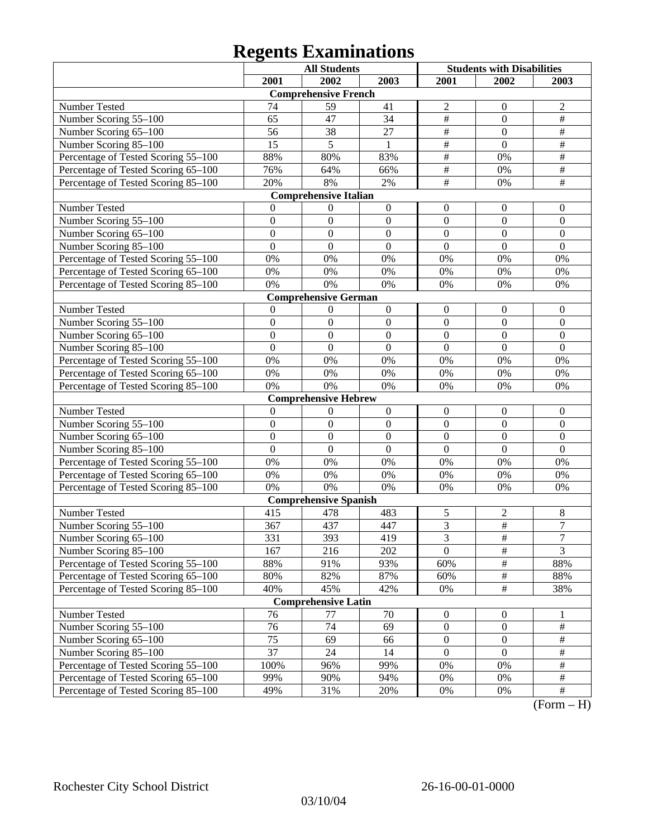|                                     |                  | <b>All Students</b>          |                  | <b>Students with Disabilities</b> |                  |                  |
|-------------------------------------|------------------|------------------------------|------------------|-----------------------------------|------------------|------------------|
|                                     | 2001             | 2002                         | 2003             | 2001                              | 2002             | 2003             |
|                                     |                  | <b>Comprehensive French</b>  |                  |                                   |                  |                  |
| Number Tested                       | 74               | 59                           | 41               | $\overline{c}$                    | $\mathbf{0}$     | $\overline{2}$   |
| Number Scoring 55-100               | 65               | 47                           | 34               | $\overline{\#}$                   | $\mathbf{0}$     | $\overline{\#}$  |
| Number Scoring 65-100               | 56               | 38                           | 27               | $\overline{\#}$                   | $\overline{0}$   | $\#$             |
| Number Scoring 85-100               | 15               | 5                            | $\mathbf{1}$     | $\overline{\#}$                   | $\overline{0}$   | $\#$             |
| Percentage of Tested Scoring 55-100 | 88%              | 80%                          | 83%              | $\overline{\#}$                   | 0%               | $\#$             |
| Percentage of Tested Scoring 65-100 | 76%              | 64%                          | 66%              | $\overline{\#}$                   | 0%               | $\#$             |
| Percentage of Tested Scoring 85-100 | 20%              | 8%                           | $2\%$            | $\overline{\#}$                   | 0%               | $\overline{\#}$  |
|                                     |                  | <b>Comprehensive Italian</b> |                  |                                   |                  |                  |
| Number Tested                       | 0                | $\theta$                     | $\boldsymbol{0}$ | $\boldsymbol{0}$                  | $\boldsymbol{0}$ | $\boldsymbol{0}$ |
| Number Scoring 55-100               | $\mathbf{0}$     | $\boldsymbol{0}$             | $\boldsymbol{0}$ | $\boldsymbol{0}$                  | $\mathbf{0}$     | $\mathbf{0}$     |
| Number Scoring 65-100               | $\overline{0}$   | $\boldsymbol{0}$             | $\mathbf{0}$     | $\overline{0}$                    | $\overline{0}$   | $\mathbf{0}$     |
| Number Scoring 85-100               | $\mathbf{0}$     | $\boldsymbol{0}$             | $\mathbf{0}$     | $\overline{0}$                    | $\overline{0}$   | $\mathbf{0}$     |
| Percentage of Tested Scoring 55-100 | 0%               | 0%                           | 0%               | 0%                                | 0%               | 0%               |
| Percentage of Tested Scoring 65-100 | 0%               | 0%                           | 0%               | 0%                                | 0%               | 0%               |
| Percentage of Tested Scoring 85-100 | 0%               | 0%                           | 0%               | 0%                                | 0%               | 0%               |
|                                     |                  | <b>Comprehensive German</b>  |                  |                                   |                  |                  |
| Number Tested                       | $\theta$         | 0                            | $\boldsymbol{0}$ | $\boldsymbol{0}$                  | $\boldsymbol{0}$ | $\boldsymbol{0}$ |
| Number Scoring 55-100               | $\mathbf{0}$     | $\boldsymbol{0}$             | $\boldsymbol{0}$ | $\overline{0}$                    | $\mathbf{0}$     | $\mathbf{0}$     |
| Number Scoring 65-100               | $\overline{0}$   | $\boldsymbol{0}$             | $\overline{0}$   | $\overline{0}$                    | $\overline{0}$   | $\mathbf{0}$     |
| Number Scoring 85-100               | $\overline{0}$   | $\mathbf{0}$                 | $\overline{0}$   | $\overline{0}$                    | $\overline{0}$   | $\mathbf{0}$     |
| Percentage of Tested Scoring 55-100 | 0%               | 0%                           | 0%               | 0%                                | 0%               | 0%               |
| Percentage of Tested Scoring 65-100 | 0%               | 0%                           | 0%               | 0%                                | 0%               | 0%               |
| Percentage of Tested Scoring 85-100 | 0%               | 0%                           | 0%               | 0%                                | 0%               | 0%               |
|                                     |                  | <b>Comprehensive Hebrew</b>  |                  |                                   |                  |                  |
| Number Tested                       | $\mathbf{0}$     | $\theta$                     | $\boldsymbol{0}$ | $\boldsymbol{0}$                  | $\boldsymbol{0}$ | $\boldsymbol{0}$ |
| Number Scoring 55-100               | $\boldsymbol{0}$ | $\boldsymbol{0}$             | $\boldsymbol{0}$ | $\overline{0}$                    | $\mathbf{0}$     | $\mathbf{0}$     |
| Number Scoring 65-100               | $\overline{0}$   | $\boldsymbol{0}$             | $\overline{0}$   | $\overline{0}$                    | $\overline{0}$   | $\mathbf{0}$     |
| Number Scoring 85-100               | $\overline{0}$   | $\boldsymbol{0}$             | $\overline{0}$   | $\overline{0}$                    | $\overline{0}$   | $\mathbf{0}$     |
| Percentage of Tested Scoring 55-100 | 0%               | 0%                           | 0%               | 0%                                | 0%               | 0%               |
| Percentage of Tested Scoring 65-100 | 0%               | 0%                           | 0%               | 0%                                | 0%               | 0%               |
| Percentage of Tested Scoring 85-100 | 0%               | 0%                           | 0%               | 0%                                | 0%               | 0%               |
|                                     |                  | <b>Comprehensive Spanish</b> |                  |                                   |                  |                  |
| Number Tested                       | 415              | 478                          | 483              | 5                                 | $\overline{c}$   | 8                |
| Number Scoring 55-100               | 367              | 437                          | 447              | $\overline{\mathbf{3}}$           | $\frac{1}{2}$    | $\overline{7}$   |
| Number Scoring 65–100               | 331              | 393                          | 419              | $\overline{3}$                    | $\overline{\#}$  | $\mathcal{I}$    |
| Number Scoring 85-100               | 167              | 216                          | 202              | $\overline{0}$                    | $\overline{\#}$  | $\overline{3}$   |
| Percentage of Tested Scoring 55-100 | 88%              | 91%                          | 93%              | 60%                               | $\#$             | 88%              |
| Percentage of Tested Scoring 65-100 | 80%              | 82%                          | 87%              | 60%                               | $\#$             | 88%              |
| Percentage of Tested Scoring 85-100 | 40%              | 45%                          | 42%              | $0\%$                             | $\frac{1}{2}$    | 38%              |
|                                     |                  | <b>Comprehensive Latin</b>   |                  |                                   |                  |                  |
| Number Tested                       | 76               | 77                           | 70               | $\boldsymbol{0}$                  | $\boldsymbol{0}$ | 1                |
| Number Scoring 55-100               | 76               | 74                           | 69               | $\boldsymbol{0}$                  | $\boldsymbol{0}$ | $\#$             |
| Number Scoring 65-100               | 75               | 69                           | 66               | $\boldsymbol{0}$                  | $\boldsymbol{0}$ | $\#$             |
| Number Scoring 85-100               | $\overline{37}$  | 24                           | 14               | $\boldsymbol{0}$                  | $\boldsymbol{0}$ | $\#$             |
| Percentage of Tested Scoring 55-100 | 100%             | 96%                          | 99%              | $0\%$                             | 0%               | $\#$             |
| Percentage of Tested Scoring 65-100 | 99%              | 90%                          | 94%              | 0%                                | 0%               | $\#$             |
| Percentage of Tested Scoring 85-100 | 49%              | 31%                          | 20%              | 0%                                | 0%               | $\overline{\#}$  |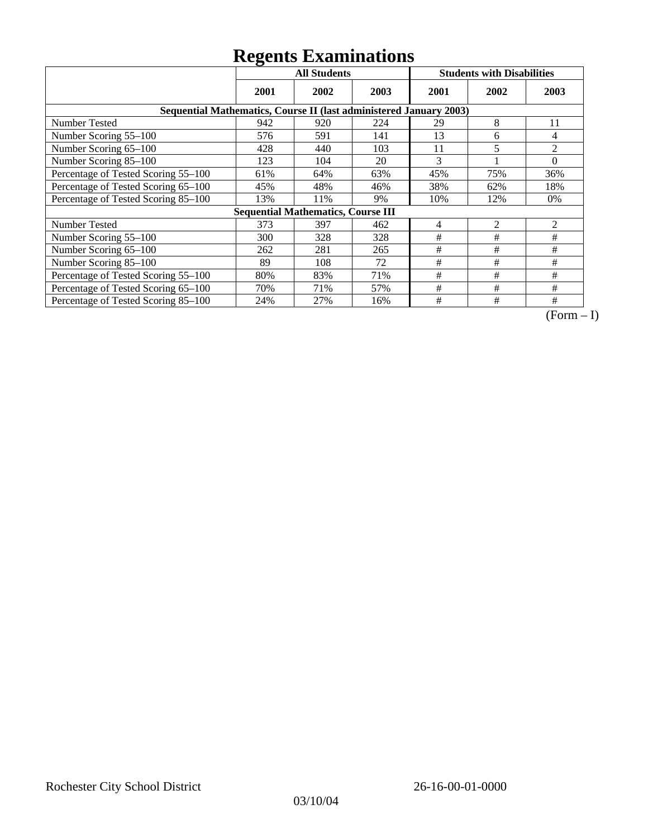|                                                                    | ັ<br><b>All Students</b> |                                           |      | <b>Students with Disabilities</b> |                |                |  |  |
|--------------------------------------------------------------------|--------------------------|-------------------------------------------|------|-----------------------------------|----------------|----------------|--|--|
|                                                                    | 2001                     | 2002                                      | 2003 | 2001                              | 2002           | 2003           |  |  |
| Sequential Mathematics, Course II (last administered January 2003) |                          |                                           |      |                                   |                |                |  |  |
| Number Tested                                                      | 942                      | 920                                       | 224  | 29                                | 8              | 11             |  |  |
| Number Scoring 55-100                                              | 576                      | 591                                       | 141  | 13                                | 6              | 4              |  |  |
| Number Scoring 65-100                                              | 428                      | 440                                       | 103  | 11                                | 5              | 2              |  |  |
| Number Scoring 85-100                                              | 123                      | 104                                       | 20   | 3                                 |                | $\Omega$       |  |  |
| Percentage of Tested Scoring 55-100                                | 61%                      | 64%                                       | 63%  | 45%                               | 75%            | 36%            |  |  |
| Percentage of Tested Scoring 65-100                                | 45%                      | 48%                                       | 46%  | 38%                               | 62%            | 18%            |  |  |
| Percentage of Tested Scoring 85-100                                | 13%                      | 11%                                       | 9%   | 10%                               | 12%            | $0\%$          |  |  |
|                                                                    |                          | <b>Sequential Mathematics, Course III</b> |      |                                   |                |                |  |  |
| Number Tested                                                      | 373                      | 397                                       | 462  | 4                                 | $\overline{2}$ | $\overline{2}$ |  |  |
| Number Scoring 55-100                                              | 300                      | 328                                       | 328  | #                                 | #              | #              |  |  |
| Number Scoring 65-100                                              | 262                      | 281                                       | 265  | #                                 | #              | #              |  |  |
| Number Scoring 85-100                                              | 89                       | 108                                       | 72   | #                                 | #              | #              |  |  |
| Percentage of Tested Scoring 55-100                                | 80%                      | 83%                                       | 71%  | #                                 | #              | #              |  |  |
| Percentage of Tested Scoring 65-100                                | 70%                      | 71%                                       | 57%  | $\#$                              | #              | #              |  |  |
| Percentage of Tested Scoring 85-100                                | 24%                      | 27%                                       | 16%  | #                                 | #              | #              |  |  |

 $\overline{(Form-I)}$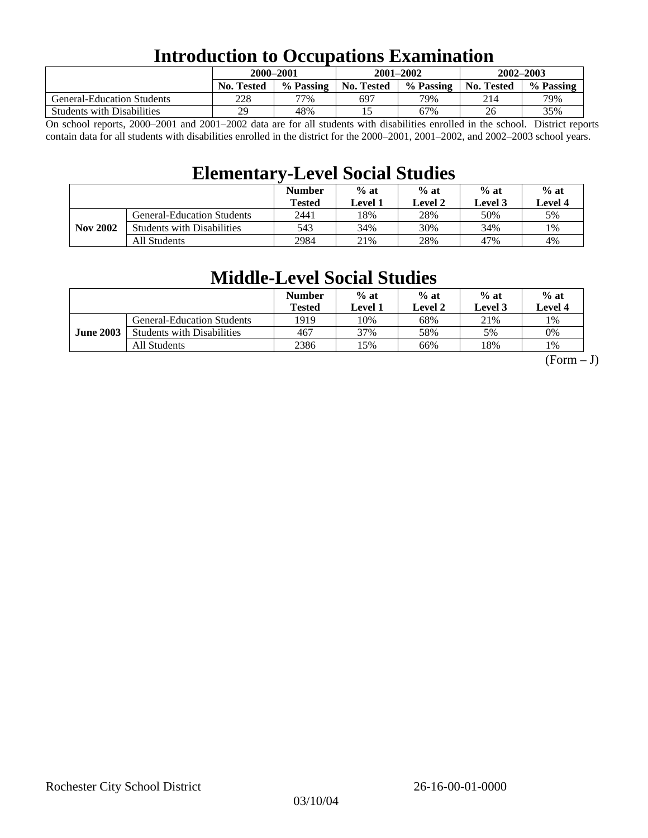### **Introduction to Occupations Examination**

|                                   |                   | 2000–2001 |            | $2001 - 2002$ | $2002 - 2003$     |           |  |
|-----------------------------------|-------------------|-----------|------------|---------------|-------------------|-----------|--|
|                                   | <b>No. Tested</b> | % Passing | No. Tested | % Passing     | <b>No. Tested</b> | % Passing |  |
| <b>General-Education Students</b> | 228               | 77%       | 697        | 79%           | 214               | 79%       |  |
| <b>Students with Disabilities</b> | 29                | 48%       |            | 67%           | 26                | 35%       |  |

On school reports, 2000–2001 and 2001–2002 data are for all students with disabilities enrolled in the school. District reports contain data for all students with disabilities enrolled in the district for the 2000–2001, 2001–2002, and 2002–2003 school years.

### **Elementary-Level Social Studies**

|                 |                                   | <b>Number</b><br><b>Tested</b> | $%$ at<br>Level 1 | $%$ at<br>Level 2 | $%$ at<br>Level 3 | $%$ at<br>Level 4 |
|-----------------|-----------------------------------|--------------------------------|-------------------|-------------------|-------------------|-------------------|
| <b>Nov 2002</b> | <b>General-Education Students</b> | 2441                           | 18%               | 28%               | 50%               | 5%                |
|                 | <b>Students with Disabilities</b> | 543                            | 34%               | 30%               | 34%               | 1%                |
|                 | All Students                      | 2984                           | 21%               | 28%               | 47%               | 4%                |

### **Middle-Level Social Studies**

|                  |                                   | <b>Number</b><br>Tested | $%$ at<br>evel 1. | $%$ at<br>Level 2 | $%$ at<br>Level 3 | $%$ at<br>Level 4 |
|------------------|-----------------------------------|-------------------------|-------------------|-------------------|-------------------|-------------------|
| <b>June 2003</b> | <b>General-Education Students</b> | 1919                    | 10%               | 68%               | 21%               | 1%                |
|                  | <b>Students with Disabilities</b> | 467                     | 37%               | 58%               | 5%                | 0%                |
|                  | All Students                      | 2386                    | 15%               | 66%               | 18%               | 1%                |

 $(Form - J)$